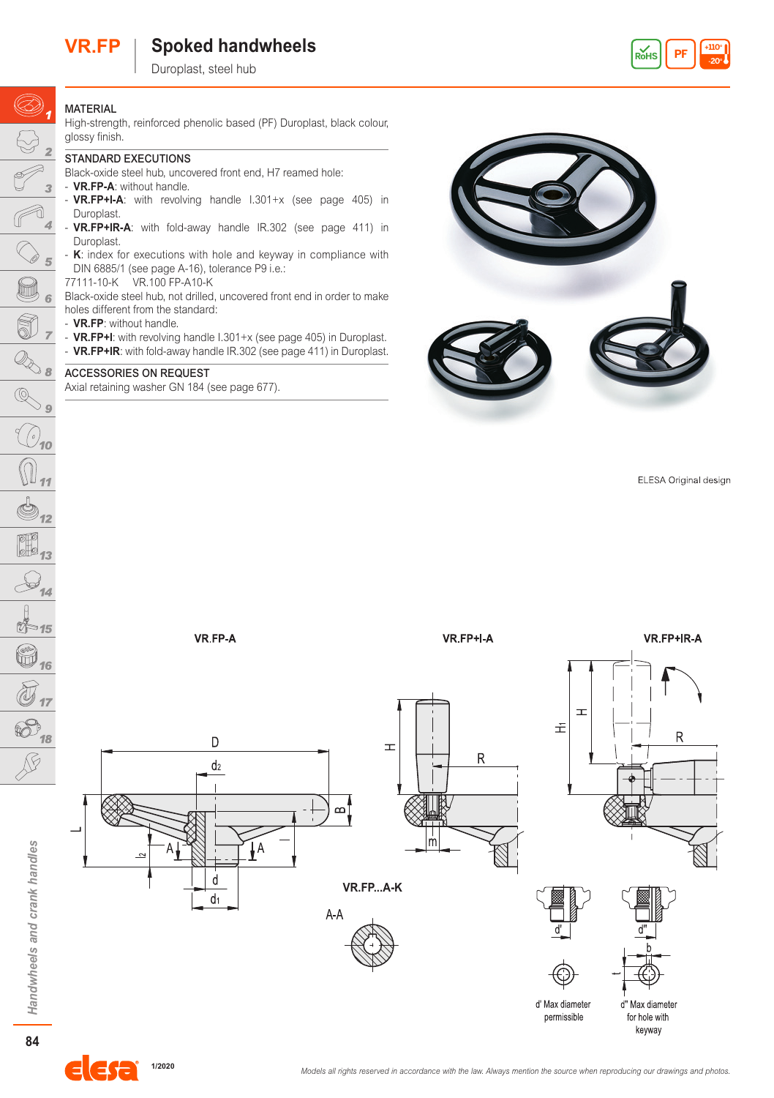# **VR.FP Spoked handwheels**

Duroplast, steel hub



## **MATERIAL**

 $\circledcirc$ ,

 $\bigodot$ 

 $\overline{a}$ 

 $\overline{5}$ 

b. 6

Î

High-strength, reinforced phenolic based (PF) Duroplast, black colour, glossy finish.

### STANDARD EXECUTIONS

Black-oxide steel hub, uncovered front end, H7 reamed hole:

- VR.FP-A: without handle.
- **VR.FP+I-A**: with revolving handle I.301+x (see page 405) in Duroplast.
- **VR.FP+IR-A**: with fold-away handle IR.302 (see page 411) in Duroplast.
- **K**: index for executions with hole and keyway in compliance with DIN 6885/1 (see page A-16), tolerance P9 i.e.:
- 77111-10-K VR.100 FP-A10-K

Black-oxide steel hub, not drilled, uncovered front end in order to make holes different from the standard:

- **VR.FP**: without handle.
- **VR.FP+I**: with revolving handle I.301+x (see page 405) in Duroplast.
- **VR.FP+IR**: with fold-away handle IR.302 (see page 411) in Duroplast.

#### ACCESSORIES ON REQUEST

Axial retaining washer GN 184 (see page 677).



ELESA Original design



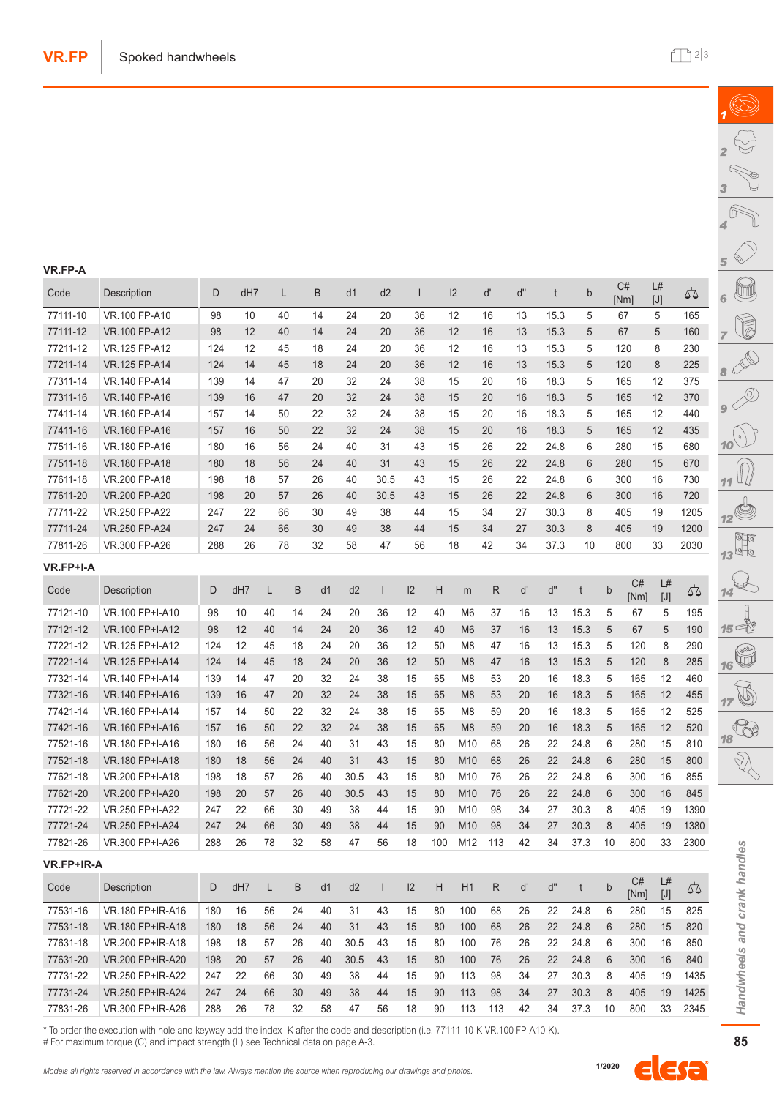(S)

 $\overline{\mathscr{P}}$ 

| Code              | Description      | D   | dH7 |    | L  | B  | d1   | d2                       | $\overline{1}$ |     | 2              | ď            | ď" | t    | $\mathsf b$     |              | C#<br>[Nm] | L#<br>$[J]$ | 55   |
|-------------------|------------------|-----|-----|----|----|----|------|--------------------------|----------------|-----|----------------|--------------|----|------|-----------------|--------------|------------|-------------|------|
| 77111-10          | VR.100 FP-A10    | 98  | 10  |    | 40 | 14 | 24   | 20                       | 36             |     | 12             | 16           | 13 | 15.3 | 5               |              | 67         | 5           | 165  |
| 77111-12          | VR.100 FP-A12    | 98  | 12  |    | 40 | 14 | 24   | 20                       | 36             |     | 12             | 16           | 13 | 15.3 | 5               |              | 67         | 5           | 160  |
| 77211-12          | VR.125 FP-A12    | 124 | 12  |    | 45 | 18 | 24   | 20                       | 36             |     | 12             | 16           | 13 | 15.3 | 5               |              | 120        | 8           | 230  |
| 77211-14          | VR.125 FP-A14    | 124 | 14  |    | 45 | 18 | 24   | 20                       | 36             |     | 12             | 16           | 13 | 15.3 | 5               |              | 120        | 8           | 225  |
| 77311-14          | VR.140 FP-A14    | 139 | 14  |    | 47 | 20 | 32   | 24                       | 38             |     | 15             | 20           | 16 | 18.3 | 5               |              | 165        | 12          | 375  |
| 77311-16          | VR.140 FP-A16    | 139 | 16  |    | 47 | 20 | 32   | 24                       | 38             |     | 15             | 20           | 16 | 18.3 | 5               |              | 165        | 12          | 370  |
| 77411-14          | VR.160 FP-A14    | 157 | 14  |    | 50 | 22 | 32   | 24                       | 38             |     | 15             | 20           | 16 | 18.3 | 5               |              | 165        | 12          | 440  |
| 77411-16          | VR.160 FP-A16    | 157 | 16  |    | 50 | 22 | 32   | 24                       | 38             |     | 15             | 20           | 16 | 18.3 | 5               |              | 165        | 12          | 435  |
| 77511-16          | VR.180 FP-A16    | 180 | 16  |    | 56 | 24 | 40   | 31                       | 43             |     | 15             | 26           | 22 | 24.8 | 6               |              | 280        | 15          | 680  |
| 77511-18          | VR.180 FP-A18    | 180 | 18  |    | 56 | 24 | 40   | 31                       | 43             |     | 15             | 26           | 22 | 24.8 | $6\phantom{1}6$ |              | 280        | 15          | 670  |
| 77611-18          | VR.200 FP-A18    | 198 | 18  |    | 57 | 26 | 40   | 30.5                     | 43             |     | 15             | 26           | 22 | 24.8 | 6               |              | 300        | 16          | 730  |
| 77611-20          | VR.200 FP-A20    | 198 | 20  |    | 57 | 26 | 40   | 30.5                     | 43             |     | 15             | 26           | 22 | 24.8 | 6               |              | 300        | 16          | 720  |
| 77711-22          | VR.250 FP-A22    | 247 | 22  |    | 66 | 30 | 49   | 38                       | 44             |     | 15             | 34           | 27 | 30.3 | 8               |              | 405        | 19          | 1205 |
| 77711-24          | VR.250 FP-A24    | 247 | 24  |    | 66 | 30 | 49   | 38                       | 44             |     | 15             | 34           | 27 | 30.3 | 8               |              | 405        | 19          | 1200 |
| 77811-26          | VR.300 FP-A26    | 288 | 26  |    | 78 | 32 | 58   | 47                       | 56             |     | 18             | 42           | 34 | 37.3 | 10              |              | 800        | 33          | 2030 |
| VR.FP+I-A         |                  |     |     |    |    |    |      |                          |                |     |                |              |    |      |                 |              |            |             |      |
| Code              | Description      | D   | dH7 | L  | B  | d1 | d2   | $\overline{\phantom{a}}$ | 12             | H   | m              | R            | ď  | ď"   | t               | $\mathsf b$  | C#<br>[Nm] | L#<br>$[J]$ | 42   |
| 77121-10          | VR.100 FP+I-A10  | 98  | 10  | 40 | 14 | 24 | 20   | 36                       | 12             | 40  | M <sub>6</sub> | 37           | 16 | 13   | 15.3            | 5            | 67         | 5           | 195  |
| 77121-12          | VR.100 FP+I-A12  | 98  | 12  | 40 | 14 | 24 | 20   | 36                       | 12             | 40  | M <sub>6</sub> | 37           | 16 | 13   | 15.3            | 5            | 67         | 5           | 190  |
| 77221-12          | VR.125 FP+I-A12  | 124 | 12  | 45 | 18 | 24 | 20   | 36                       | 12             | 50  | M <sub>8</sub> | 47           | 16 | 13   | 15.3            | 5            | 120        | 8           | 290  |
| 77221-14          | VR.125 FP+I-A14  | 124 | 14  | 45 | 18 | 24 | 20   | 36                       | 12             | 50  | M <sub>8</sub> | 47           | 16 | 13   | 15.3            | 5            | 120        | 8           | 285  |
| 77321-14          | VR.140 FP+I-A14  | 139 | 14  | 47 | 20 | 32 | 24   | 38                       | 15             | 65  | M <sub>8</sub> | 53           | 20 | 16   | 18.3            | 5            | 165        | 12          | 460  |
| 77321-16          | VR.140 FP+I-A16  | 139 | 16  | 47 | 20 | 32 | 24   | 38                       | 15             | 65  | M <sub>8</sub> | 53           | 20 | 16   | 18.3            | 5            | 165        | 12          | 455  |
| 77421-14          | VR.160 FP+I-A14  | 157 | 14  | 50 | 22 | 32 | 24   | 38                       | 15             | 65  | M <sub>8</sub> | 59           | 20 | 16   | 18.3            | 5            | 165        | 12          | 525  |
| 77421-16          | VR.160 FP+I-A16  | 157 | 16  | 50 | 22 | 32 | 24   | 38                       | 15             | 65  | M <sub>8</sub> | 59           | 20 | 16   | 18.3            | 5            | 165        | 12          | 520  |
| 77521-16          | VR.180 FP+I-A16  | 180 | 16  | 56 | 24 | 40 | 31   | 43                       | 15             | 80  | M10            | 68           | 26 | 22   | 24.8            | 6            | 280        | 15          | 810  |
| 77521-18          | VR.180 FP+I-A18  | 180 | 18  | 56 | 24 | 40 | 31   | 43                       | 15             | 80  | M10            | 68           | 26 | 22   | 24.8            | 6            | 280        | 15          | 800  |
| 77621-18          | VR.200 FP+I-A18  | 198 | 18  | 57 | 26 | 40 | 30.5 | 43                       | 15             | 80  | M10            | 76           | 26 | 22   | 24.8            | 6            | 300        | 16          | 855  |
| 77621-20          | VR.200 FP+I-A20  | 198 | 20  | 57 | 26 | 40 | 30.5 | 43                       | 15             | 80  | M10            | 76           | 26 | 22   | 24.8            | 6            | 300        | 16          | 845  |
| 77721-22          | VR.250 FP+I-A22  | 247 | 22  | 66 | 30 | 49 | 38   | 44                       | 15             | 90  | M10            | 98           | 34 | 27   | 30.3            | 8            | 405        | 19          | 1390 |
| 77721-24          | VR.250 FP+I-A24  | 247 | 24  | 66 | 30 | 49 | 38   | 44                       | 15             | 90  | M10            | 98           | 34 | 27   | 30.3            | 8            | 405        | 19          | 1380 |
| 77821-26          | VR.300 FP+I-A26  | 288 | 26  | 78 | 32 | 58 | 47   | 56                       | 18             | 100 | M12            | 113          | 42 | 34   | 37.3            | 10           | 800        | 33          | 2300 |
| <b>VR.FP+IR-A</b> |                  |     |     |    |    |    |      |                          |                |     |                |              |    |      |                 |              |            |             |      |
| Code              | Description      | D   | dH7 | L  | B  | d1 | d2   | $\overline{\phantom{a}}$ | 12             | H   | H1             | $\mathsf{R}$ | ď  | ď"   | t               | $\mathsf{b}$ | C#<br>[Nm] | L#<br>$[J]$ | 52   |
| 77531-16          | VR.180 FP+IR-A16 | 180 | 16  | 56 | 24 | 40 | 31   | 43                       | 15             | 80  | 100            | 68           | 26 | 22   | 24.8            | 6            | 280        | 15          | 825  |
| 77531-18          | VR.180 FP+IR-A18 | 180 | 18  | 56 | 24 | 40 | 31   | 43                       | 15             | 80  | 100            | 68           | 26 | 22   | 24.8            | 6            | 280        | 15          | 820  |
| 77631-18          | VR.200 FP+IR-A18 | 198 | 18  | 57 | 26 | 40 | 30.5 | 43                       | 15             | 80  | 100            | 76           | 26 | 22   | 24.8            | 6            | 300        | 16          | 850  |
| 77631-20          | VR.200 FP+IR-A20 | 198 | 20  | 57 | 26 | 40 | 30.5 | 43                       | 15             | 80  | 100            | 76           | 26 | 22   | 24.8            | 6            | 300        | 16          | 840  |
| 77731-22          | VR.250 FP+IR-A22 | 247 | 22  | 66 | 30 | 49 | 38   | 44                       | 15             | 90  | 113            | 98           | 34 | 27   | 30.3            | 8            | 405        | 19          | 1435 |
| 77731-24          | VR.250 FP+IR-A24 | 247 | 24  | 66 | 30 | 49 | 38   | 44                       | 15             | 90  | 113            | 98           | 34 | 27   | 30.3            | 8            | 405        | 19          | 1425 |
| 77831-26          | VR.300 FP+IR-A26 | 288 | 26  | 78 | 32 | 58 | 47   | 56                       | 18             | 90  | 113            | 113          | 42 | 34   | 37.3            | 10           | 800        | 33          | 2345 |
|                   |                  |     |     |    |    |    |      |                          |                |     |                |              |    |      |                 |              |            |             |      |

\* To order the execution with hole and keyway add the index -K after the code and description (i.e. 77111-10-K VR.100 FP-A10-K). # For maximum torque (C) and impact strength (L) see Technical data on page A-3.